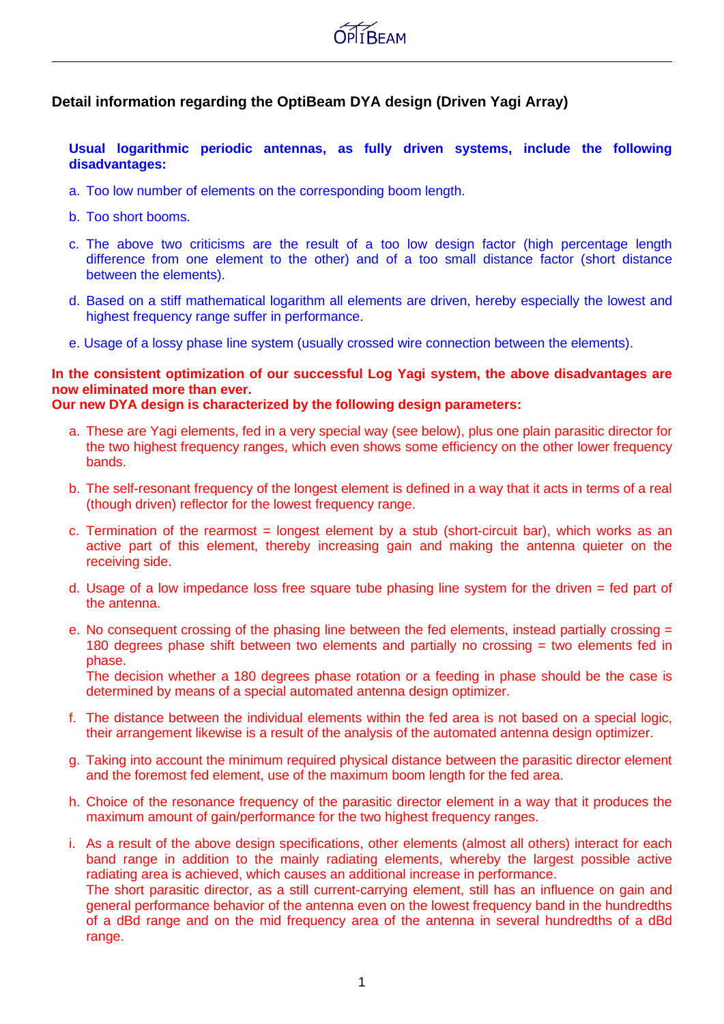

## **Detail information regarding the OptiBeam DYA design (Driven Yagi Array)**

**Usual logarithmic periodic antennas, as fully driven systems, include the following disadvantages:**

- a. Too low number of elements on the corresponding boom length.
- b. Too short booms.
- c. The above two criticisms are the result of a too low design factor (high percentage length difference from one element to the other) and of a too small distance factor (short distance between the elements).
- d. Based on a stiff mathematical logarithm all elements are driven, hereby especially the lowest and highest frequency range suffer in performance.
- e. Usage of a lossy phase line system (usually crossed wire connection between the elements).

## **In the consistent optimization of our successful Log Yagi system, the above disadvantages are now eliminated more than ever.**

**Our new DYA design is characterized by the following design parameters:**

- a. These are Yagi elements, fed in a very special way (see below), plus one plain parasitic director for the two highest frequency ranges, which even shows some efficiency on the other lower frequency bands.
- b. The self-resonant frequency of the longest element is defined in a way that it acts in terms of a real (though driven) reflector for the lowest frequency range.
- c. Termination of the rearmost = longest element by a stub (short-circuit bar), which works as an active part of this element, thereby increasing gain and making the antenna quieter on the receiving side.
- d. Usage of a low impedance loss free square tube phasing line system for the driven = fed part of the antenna.
- e. No consequent crossing of the phasing line between the fed elements, instead partially crossing = 180 degrees phase shift between two elements and partially no crossing = two elements fed in phase.

The decision whether a 180 degrees phase rotation or a feeding in phase should be the case is determined by means of a special automated antenna design optimizer.

- f. The distance between the individual elements within the fed area is not based on a special logic, their arrangement likewise is a result of the analysis of the automated antenna design optimizer.
- g. Taking into account the minimum required physical distance between the parasitic director element and the foremost fed element, use of the maximum boom length for the fed area.
- h. Choice of the resonance frequency of the parasitic director element in a way that it produces the maximum amount of gain/performance for the two highest frequency ranges.
- i. As a result of the above design specifications, other elements (almost all others) interact for each band range in addition to the mainly radiating elements, whereby the largest possible active radiating area is achieved, which causes an additional increase in performance. The short parasitic director, as a still current-carrying element, still has an influence on gain and

general performance behavior of the antenna even on the lowest frequency band in the hundredths of a dBd range and on the mid frequency area of the antenna in several hundredths of a dBd range.